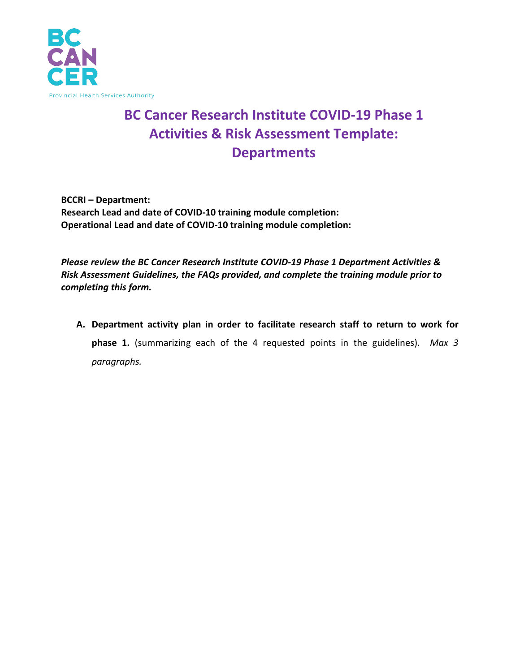

## **BC Cancer Research Institute COVID-19 Phase 1 Activities & Risk Assessment Template: Departments**

**BCCRI – Department: Research Lead and date of COVID-10 training module completion: Operational Lead and date of COVID-10 training module completion:**

*Please review the BC Cancer Research Institute COVID-19 Phase 1 Department Activities & Risk Assessment Guidelines, the FAQs provided, and complete the training module prior to completing this form.* 

**A. Department activity plan in order to facilitate research staff to return to work for phase 1.** (summarizing each of the 4 requested points in the guidelines). *Max 3 paragraphs.*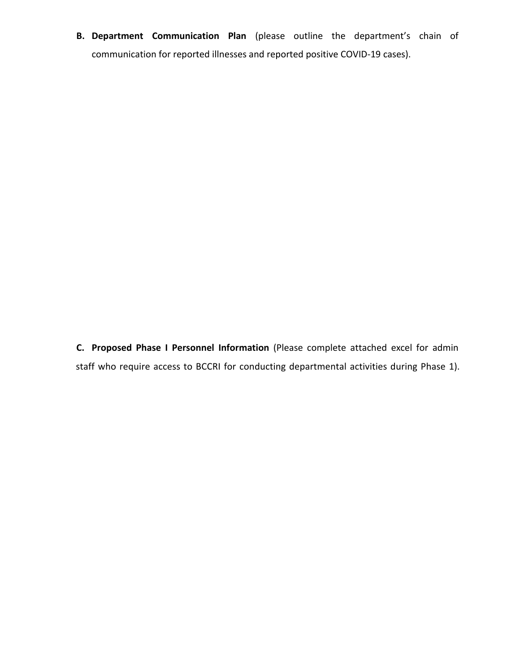**B. Department Communication Plan** (please outline the department's chain of communication for reported illnesses and reported positive COVID-19 cases).

**C. Proposed Phase I Personnel Information** (Please complete attached excel for admin staff who require access to BCCRI for conducting departmental activities during Phase 1).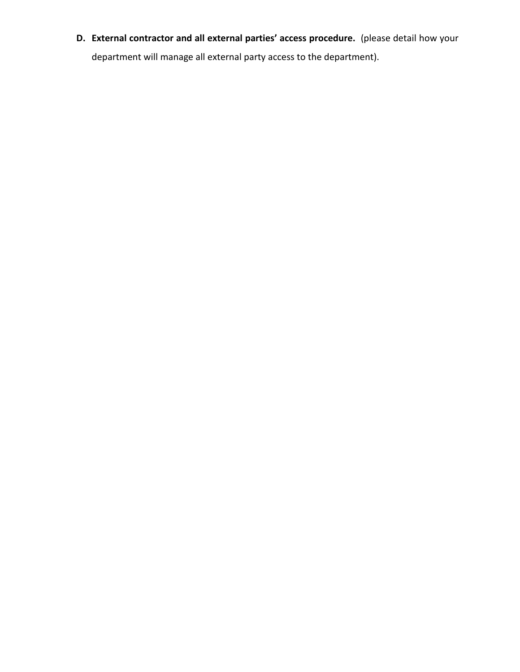**D. External contractor and all external parties' access procedure.** (please detail how your department will manage all external party access to the department).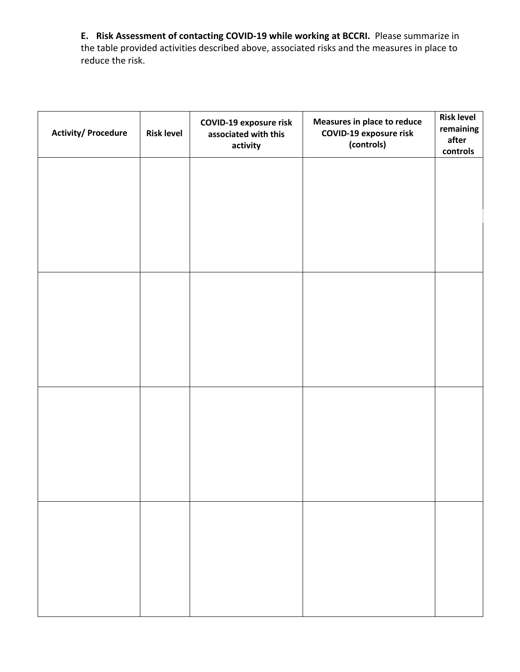**E. Risk Assessment of contacting COVID-19 while working at BCCRI.** Please summarize in the table provided activities described above, associated risks and the measures in place to reduce the risk.

| <b>Activity/Procedure</b> | <b>Risk level</b> | <b>COVID-19 exposure risk</b><br>associated with this<br>activity | Measures in place to reduce<br><b>COVID-19 exposure risk</b><br>(controls) | <b>Risk level</b><br>remaining<br>after<br>controls |
|---------------------------|-------------------|-------------------------------------------------------------------|----------------------------------------------------------------------------|-----------------------------------------------------|
|                           |                   |                                                                   |                                                                            |                                                     |
|                           |                   |                                                                   |                                                                            |                                                     |
|                           |                   |                                                                   |                                                                            |                                                     |
|                           |                   |                                                                   |                                                                            |                                                     |
|                           |                   |                                                                   |                                                                            |                                                     |
|                           |                   |                                                                   |                                                                            |                                                     |
|                           |                   |                                                                   |                                                                            |                                                     |
|                           |                   |                                                                   |                                                                            |                                                     |
|                           |                   |                                                                   |                                                                            |                                                     |
|                           |                   |                                                                   |                                                                            |                                                     |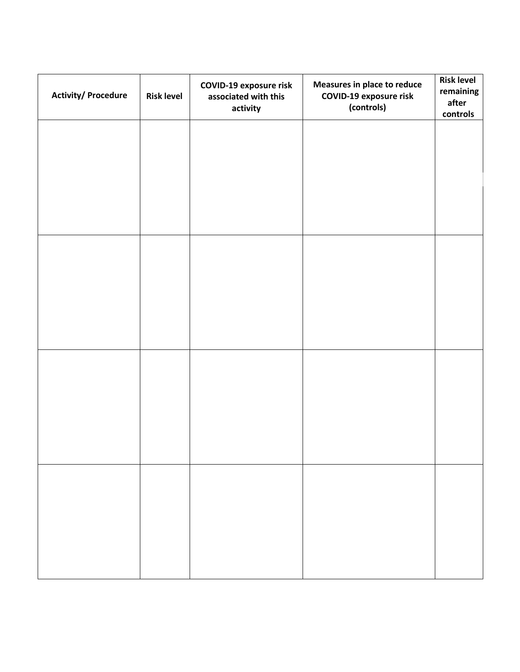| <b>Activity/Procedure</b> | <b>Risk level</b> | <b>COVID-19 exposure risk</b><br>associated with this<br>activity | Measures in place to reduce<br><b>COVID-19 exposure risk</b><br>(controls) | <b>Risk level</b><br>remaining<br>after<br>controls |
|---------------------------|-------------------|-------------------------------------------------------------------|----------------------------------------------------------------------------|-----------------------------------------------------|
|                           |                   |                                                                   |                                                                            |                                                     |
|                           |                   |                                                                   |                                                                            |                                                     |
|                           |                   |                                                                   |                                                                            |                                                     |
|                           |                   |                                                                   |                                                                            |                                                     |
|                           |                   |                                                                   |                                                                            |                                                     |
|                           |                   |                                                                   |                                                                            |                                                     |
|                           |                   |                                                                   |                                                                            |                                                     |
|                           |                   |                                                                   |                                                                            |                                                     |
|                           |                   |                                                                   |                                                                            |                                                     |